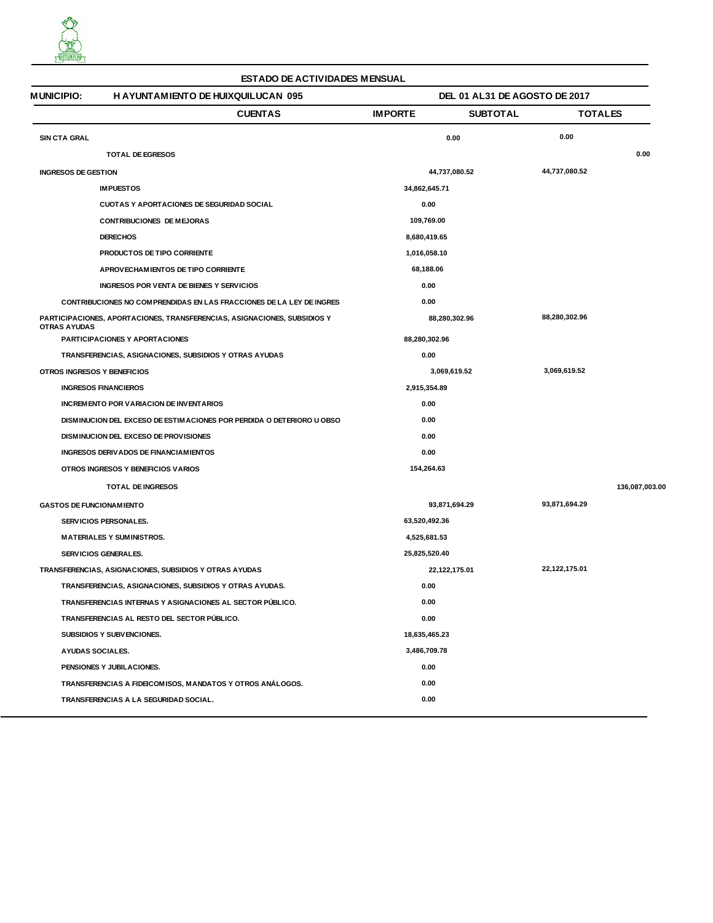

| <b>ESTADO DE ACTIVIDADES MENSUAL</b>                                                            |                                                                       |                |                               |                |  |  |  |  |
|-------------------------------------------------------------------------------------------------|-----------------------------------------------------------------------|----------------|-------------------------------|----------------|--|--|--|--|
| <b>MUNICIPIO:</b>                                                                               | <b>H AYUNTAMIENTO DE HUIXQUILUCAN 095</b>                             |                | DEL 01 AL31 DE AGOSTO DE 2017 |                |  |  |  |  |
|                                                                                                 | <b>CUENTAS</b>                                                        | <b>IMPORTE</b> | <b>SUBTOTAL</b>               | <b>TOTALES</b> |  |  |  |  |
| <b>SIN CTA GRAL</b>                                                                             |                                                                       | 0.00           | 0.00                          |                |  |  |  |  |
|                                                                                                 | TOTAL DE EGRESOS                                                      |                |                               | 0.00           |  |  |  |  |
| <b>INGRESOS DE GESTION</b>                                                                      |                                                                       | 44,737,080.52  | 44,737,080.52                 |                |  |  |  |  |
| <b>IMPUESTOS</b>                                                                                |                                                                       | 34,862,645.71  |                               |                |  |  |  |  |
|                                                                                                 | <b>CUOTAS Y APORTACIONES DE SEGURIDAD SOCIAL</b>                      | 0.00           |                               |                |  |  |  |  |
|                                                                                                 | <b>CONTRIBUCIONES DE MEJORAS</b>                                      | 109,769.00     |                               |                |  |  |  |  |
| <b>DERECHOS</b>                                                                                 |                                                                       | 8,680,419.65   |                               |                |  |  |  |  |
|                                                                                                 | PRODUCTOS DE TIPO CORRIENTE                                           | 1,016,058.10   |                               |                |  |  |  |  |
|                                                                                                 | APROVECHAMIENTOS DE TIPO CORRIENTE                                    | 68,188.06      |                               |                |  |  |  |  |
|                                                                                                 | INGRESOS POR VENTA DE BIENES Y SERVICIOS                              | 0.00           |                               |                |  |  |  |  |
|                                                                                                 | CONTRIBUCIONES NO COMPRENDIDAS EN LAS FRACCIONES DE LA LEY DE INGRES  | 0.00           |                               |                |  |  |  |  |
| PARTICIPACIONES, APORTACIONES, TRANSFERENCIAS, ASIGNACIONES, SUBSIDIOS Y<br><b>OTRAS AYUDAS</b> |                                                                       | 88,280,302.96  | 88,280,302.96                 |                |  |  |  |  |
|                                                                                                 | <b>PARTICIPACIONES Y APORTACIONES</b>                                 | 88,280,302.96  |                               |                |  |  |  |  |
|                                                                                                 | TRANSFERENCIAS, ASIGNACIONES, SUBSIDIOS Y OTRAS AYUDAS                | 0.00           |                               |                |  |  |  |  |
| OTROS INGRESOS Y BENEFICIOS                                                                     |                                                                       | 3,069,619.52   | 3,069,619.52                  |                |  |  |  |  |
|                                                                                                 | <b>INGRESOS FINANCIEROS</b>                                           | 2,915,354.89   |                               |                |  |  |  |  |
|                                                                                                 | INCREMENTO POR VARIACION DE INVENTARIOS                               | 0.00           |                               |                |  |  |  |  |
|                                                                                                 | DISMINUCION DEL EXCESO DE ESTIMACIONES POR PERDIDA O DETERIORO U OBSO | 0.00           |                               |                |  |  |  |  |
|                                                                                                 | DISMINUCION DEL EXCESO DE PROVISIONES                                 | 0.00           |                               |                |  |  |  |  |
|                                                                                                 | INGRESOS DERIVADOS DE FINANCIAM IENTOS                                | 0.00           |                               |                |  |  |  |  |
|                                                                                                 | OTROS INGRESOS Y BENEFICIOS VARIOS                                    | 154,264.63     |                               |                |  |  |  |  |
|                                                                                                 | <b>TOTAL DE INGRESOS</b>                                              |                |                               | 136,087,003.00 |  |  |  |  |
| <b>GASTOS DE FUNCIONAM IENTO</b>                                                                |                                                                       | 93,871,694.29  | 93,871,694.29                 |                |  |  |  |  |
|                                                                                                 | SERVICIOS PERSONALES.                                                 | 63,520,492.36  |                               |                |  |  |  |  |
|                                                                                                 | <b>MATERIALES Y SUMINISTROS.</b>                                      | 4,525,681.53   |                               |                |  |  |  |  |
|                                                                                                 | SERVICIOS GENERALES.                                                  | 25,825,520.40  |                               |                |  |  |  |  |
| TRANSFERENCIAS, ASIGNACIONES, SUBSIDIOS Y OTRAS AYUDAS                                          |                                                                       | 22,122,175.01  | 22,122,175.01                 |                |  |  |  |  |
|                                                                                                 | TRANSFERENCIAS, ASIGNACIONES, SUBSIDIOS Y OTRAS AYUDAS.               | 0.00           |                               |                |  |  |  |  |
|                                                                                                 | TRANSFERENCIAS INTERNAS Y ASIGNACIONES AL SECTOR PUBLICO.             | 0.00           |                               |                |  |  |  |  |
|                                                                                                 | TRANSFERENCIAS AL RESTO DEL SECTOR PUBLICO.                           | 0.00           |                               |                |  |  |  |  |
|                                                                                                 | SUBSIDIOS Y SUBVENCIONES.                                             | 18,635,465.23  |                               |                |  |  |  |  |
|                                                                                                 | <b>AYUDAS SOCIALES.</b>                                               | 3,486,709.78   |                               |                |  |  |  |  |
|                                                                                                 | PENSIONES Y JUBILACIONES.                                             | 0.00           |                               |                |  |  |  |  |
|                                                                                                 | TRANSFERENCIAS A FIDEICOMISOS, MANDATOS Y OTROS ANÁLOGOS.             | 0.00           |                               |                |  |  |  |  |
|                                                                                                 | TRANSFERENCIAS A LA SEGURIDAD SOCIAL.                                 | 0.00           |                               |                |  |  |  |  |